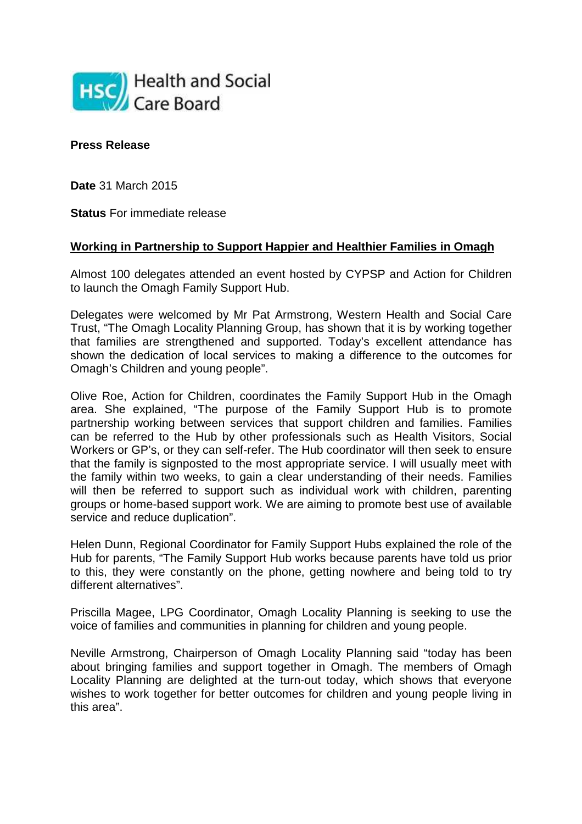

**Press Release**

**Date** 31 March 2015

**Status** For immediate release

## **Working in Partnership to Support Happier and Healthier Families in Omagh**

Almost 100 delegates attended an event hosted by CYPSP and Action for Children to launch the Omagh Family Support Hub.

Delegates were welcomed by Mr Pat Armstrong, Western Health and Social Care Trust, "The Omagh Locality Planning Group, has shown that it is by working together that families are strengthened and supported. Today's excellent attendance has shown the dedication of local services to making a difference to the outcomes for Omagh's Children and young people".

Olive Roe, Action for Children, coordinates the Family Support Hub in the Omagh area. She explained, "The purpose of the Family Support Hub is to promote partnership working between services that support children and families. Families can be referred to the Hub by other professionals such as Health Visitors, Social Workers or GP's, or they can self-refer. The Hub coordinator will then seek to ensure that the family is signposted to the most appropriate service. I will usually meet with the family within two weeks, to gain a clear understanding of their needs. Families will then be referred to support such as individual work with children, parenting groups or home-based support work. We are aiming to promote best use of available service and reduce duplication".

Helen Dunn, Regional Coordinator for Family Support Hubs explained the role of the Hub for parents, "The Family Support Hub works because parents have told us prior to this, they were constantly on the phone, getting nowhere and being told to try different alternatives".

Priscilla Magee, LPG Coordinator, Omagh Locality Planning is seeking to use the voice of families and communities in planning for children and young people.

Neville Armstrong, Chairperson of Omagh Locality Planning said "today has been about bringing families and support together in Omagh. The members of Omagh Locality Planning are delighted at the turn-out today, which shows that everyone wishes to work together for better outcomes for children and young people living in this area".